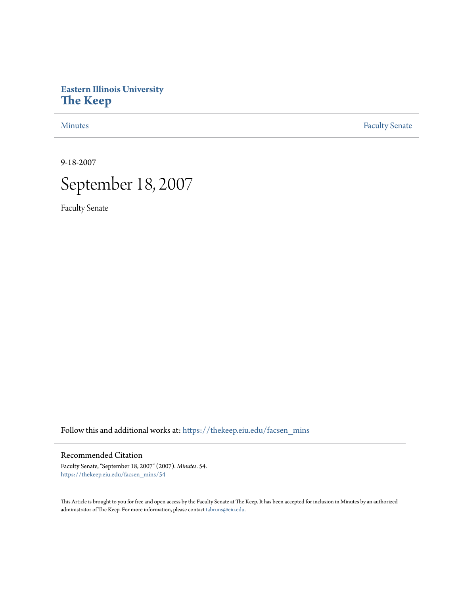# **Eastern Illinois University [The Keep](https://thekeep.eiu.edu?utm_source=thekeep.eiu.edu%2Ffacsen_mins%2F54&utm_medium=PDF&utm_campaign=PDFCoverPages)**

[Minutes](https://thekeep.eiu.edu/facsen_mins?utm_source=thekeep.eiu.edu%2Ffacsen_mins%2F54&utm_medium=PDF&utm_campaign=PDFCoverPages) **[Faculty Senate](https://thekeep.eiu.edu/fac_senate?utm_source=thekeep.eiu.edu%2Ffacsen_mins%2F54&utm_medium=PDF&utm_campaign=PDFCoverPages)** 

9-18-2007



Faculty Senate

Follow this and additional works at: [https://thekeep.eiu.edu/facsen\\_mins](https://thekeep.eiu.edu/facsen_mins?utm_source=thekeep.eiu.edu%2Ffacsen_mins%2F54&utm_medium=PDF&utm_campaign=PDFCoverPages)

#### Recommended Citation

Faculty Senate, "September 18, 2007" (2007). *Minutes*. 54. [https://thekeep.eiu.edu/facsen\\_mins/54](https://thekeep.eiu.edu/facsen_mins/54?utm_source=thekeep.eiu.edu%2Ffacsen_mins%2F54&utm_medium=PDF&utm_campaign=PDFCoverPages)

This Article is brought to you for free and open access by the Faculty Senate at The Keep. It has been accepted for inclusion in Minutes by an authorized administrator of The Keep. For more information, please contact [tabruns@eiu.edu.](mailto:tabruns@eiu.edu)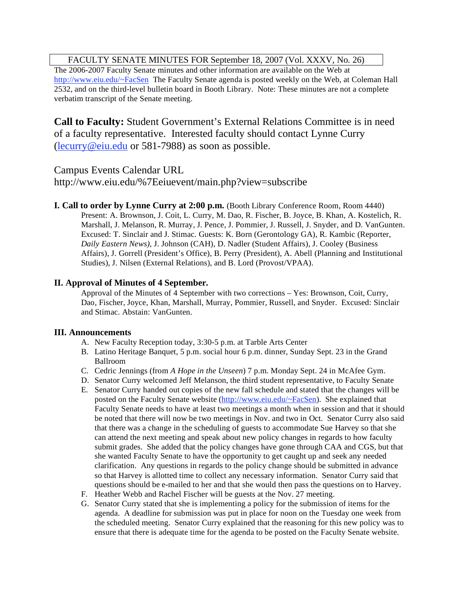# FACULTY SENATE MINUTES FOR September 18, 2007 (Vol. XXXV, No. 26)

The 2006-2007 Faculty Senate minutes and other information are available on the Web at http://www.eiu.edu/~FacSen The Faculty Senate agenda is posted weekly on the Web, at Coleman Hall 2532, and on the third-level bulletin board in Booth Library. Note: These minutes are not a complete verbatim transcript of the Senate meeting.

**Call to Faculty:** Student Government's External Relations Committee is in need of a faculty representative. Interested faculty should contact Lynne Curry (lecurry@eiu.edu or 581-7988) as soon as possible.

Campus Events Calendar URL

http://www.eiu.edu/%7Eeiuevent/main.php?view=subscribe

**I. Call to order by Lynne Curry at 2:00 p.m.** (Booth Library Conference Room, Room 4440) Present: A. Brownson, J. Coit, L. Curry, M. Dao, R. Fischer, B. Joyce, B. Khan, A. Kostelich, R. Marshall, J. Melanson, R. Murray, J. Pence, J. Pommier, J. Russell, J. Snyder, and D. VanGunten. Excused: T. Sinclair and J. Stimac. Guests: K. Born (Gerontology GA), R. Kambic (Reporter, *Daily Eastern News)*, J. Johnson (CAH), D. Nadler (Student Affairs), J. Cooley (Business Affairs), J. Gorrell (President's Office), B. Perry (President), A. Abell (Planning and Institutional Studies), J. Nilsen (External Relations), and B. Lord (Provost/VPAA).

## **II. Approval of Minutes of 4 September.**

Approval of the Minutes of 4 September with two corrections – Yes: Brownson, Coit, Curry, Dao, Fischer, Joyce, Khan, Marshall, Murray, Pommier, Russell, and Snyder. Excused: Sinclair and Stimac. Abstain: VanGunten.

### **III. Announcements**

- A. New Faculty Reception today, 3:30-5 p.m. at Tarble Arts Center
- B. Latino Heritage Banquet, 5 p.m. social hour 6 p.m. dinner, Sunday Sept. 23 in the Grand Ballroom
- C. Cedric Jennings (from *A Hope in the Unseen*) 7 p.m. Monday Sept. 24 in McAfee Gym.
- D. Senator Curry welcomed Jeff Melanson, the third student representative, to Faculty Senate
- E. Senator Curry handed out copies of the new fall schedule and stated that the changes will be posted on the Faculty Senate website (http://www.eiu.edu/~FacSen). She explained that Faculty Senate needs to have at least two meetings a month when in session and that it should be noted that there will now be two meetings in Nov. and two in Oct. Senator Curry also said that there was a change in the scheduling of guests to accommodate Sue Harvey so that she can attend the next meeting and speak about new policy changes in regards to how faculty submit grades. She added that the policy changes have gone through CAA and CGS, but that she wanted Faculty Senate to have the opportunity to get caught up and seek any needed clarification. Any questions in regards to the policy change should be submitted in advance so that Harvey is allotted time to collect any necessary information. Senator Curry said that questions should be e-mailed to her and that she would then pass the questions on to Harvey.
- F. Heather Webb and Rachel Fischer will be guests at the Nov. 27 meeting.
- G. Senator Curry stated that she is implementing a policy for the submission of items for the agenda. A deadline for submission was put in place for noon on the Tuesday one week from the scheduled meeting. Senator Curry explained that the reasoning for this new policy was to ensure that there is adequate time for the agenda to be posted on the Faculty Senate website.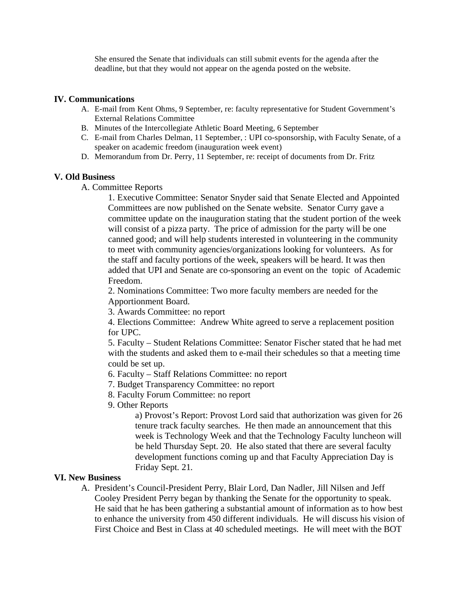She ensured the Senate that individuals can still submit events for the agenda after the deadline, but that they would not appear on the agenda posted on the website.

#### **IV. Communications**

- A. E-mail from Kent Ohms, 9 September, re: faculty representative for Student Government's External Relations Committee
- B. Minutes of the Intercollegiate Athletic Board Meeting, 6 September
- C. E-mail from Charles Delman, 11 September, : UPI co-sponsorship, with Faculty Senate, of a speaker on academic freedom (inauguration week event)
- D. Memorandum from Dr. Perry, 11 September, re: receipt of documents from Dr. Fritz

#### **V. Old Business**

A. Committee Reports

1. Executive Committee: Senator Snyder said that Senate Elected and Appointed Committees are now published on the Senate website. Senator Curry gave a committee update on the inauguration stating that the student portion of the week will consist of a pizza party. The price of admission for the party will be one canned good; and will help students interested in volunteering in the community to meet with community agencies/organizations looking for volunteers. As for the staff and faculty portions of the week, speakers will be heard. It was then added that UPI and Senate are co-sponsoring an event on the topic of Academic Freedom.

2. Nominations Committee: Two more faculty members are needed for the Apportionment Board.

3. Awards Committee: no report

4. Elections Committee: Andrew White agreed to serve a replacement position for UPC.

5. Faculty – Student Relations Committee: Senator Fischer stated that he had met with the students and asked them to e-mail their schedules so that a meeting time could be set up.

- 6. Faculty Staff Relations Committee: no report
- 7. Budget Transparency Committee: no report
- 8. Faculty Forum Committee: no report
- 9. Other Reports

a) Provost's Report: Provost Lord said that authorization was given for 26 tenure track faculty searches. He then made an announcement that this week is Technology Week and that the Technology Faculty luncheon will be held Thursday Sept. 20. He also stated that there are several faculty development functions coming up and that Faculty Appreciation Day is Friday Sept. 21.

### **VI. New Business**

A. President's Council-President Perry, Blair Lord, Dan Nadler, Jill Nilsen and Jeff Cooley President Perry began by thanking the Senate for the opportunity to speak. He said that he has been gathering a substantial amount of information as to how best to enhance the university from 450 different individuals. He will discuss his vision of First Choice and Best in Class at 40 scheduled meetings. He will meet with the BOT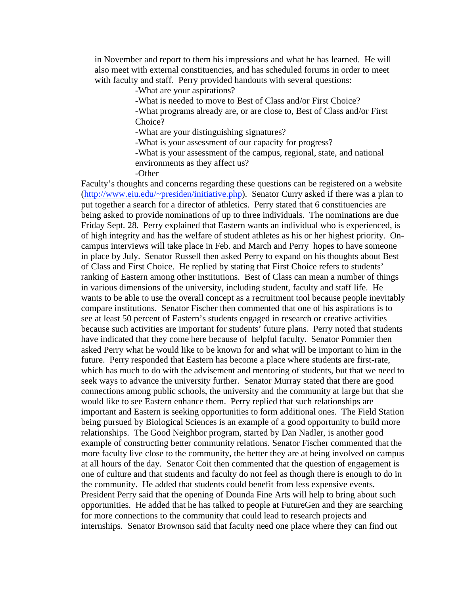in November and report to them his impressions and what he has learned. He will also meet with external constituencies, and has scheduled forums in order to meet with faculty and staff. Perry provided handouts with several questions:

-What are your aspirations?

-What is needed to move to Best of Class and/or First Choice?

-What programs already are, or are close to, Best of Class and/or First Choice?

-What are your distinguishing signatures?

-What is your assessment of our capacity for progress?

-What is your assessment of the campus, regional, state, and national environments as they affect us?

-Other

Faculty's thoughts and concerns regarding these questions can be registered on a website (http://www.eiu.edu/~presiden/initiative.php). Senator Curry asked if there was a plan to put together a search for a director of athletics. Perry stated that 6 constituencies are being asked to provide nominations of up to three individuals. The nominations are due Friday Sept. 28. Perry explained that Eastern wants an individual who is experienced, is of high integrity and has the welfare of student athletes as his or her highest priority. Oncampus interviews will take place in Feb. and March and Perry hopes to have someone in place by July. Senator Russell then asked Perry to expand on his thoughts about Best of Class and First Choice. He replied by stating that First Choice refers to students' ranking of Eastern among other institutions. Best of Class can mean a number of things in various dimensions of the university, including student, faculty and staff life. He wants to be able to use the overall concept as a recruitment tool because people inevitably compare institutions. Senator Fischer then commented that one of his aspirations is to see at least 50 percent of Eastern's students engaged in research or creative activities because such activities are important for students' future plans. Perry noted that students have indicated that they come here because of helpful faculty. Senator Pommier then asked Perry what he would like to be known for and what will be important to him in the future. Perry responded that Eastern has become a place where students are first-rate, which has much to do with the advisement and mentoring of students, but that we need to seek ways to advance the university further. Senator Murray stated that there are good connections among public schools, the university and the community at large but that she would like to see Eastern enhance them. Perry replied that such relationships are important and Eastern is seeking opportunities to form additional ones. The Field Station being pursued by Biological Sciences is an example of a good opportunity to build more relationships. The Good Neighbor program, started by Dan Nadler, is another good example of constructing better community relations. Senator Fischer commented that the more faculty live close to the community, the better they are at being involved on campus at all hours of the day. Senator Coit then commented that the question of engagement is one of culture and that students and faculty do not feel as though there is enough to do in the community. He added that students could benefit from less expensive events. President Perry said that the opening of Dounda Fine Arts will help to bring about such opportunities. He added that he has talked to people at FutureGen and they are searching for more connections to the community that could lead to research projects and internships. Senator Brownson said that faculty need one place where they can find out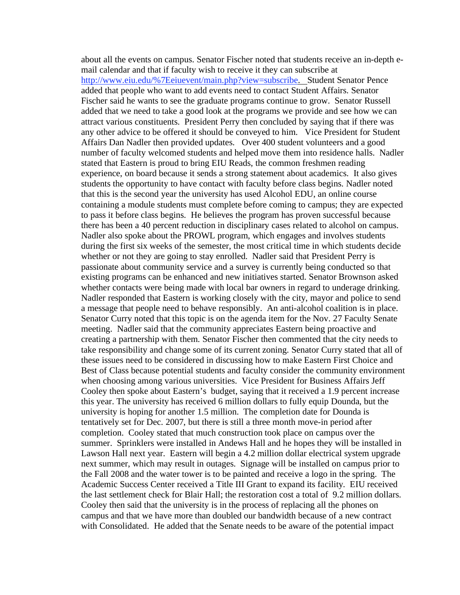about all the events on campus. Senator Fischer noted that students receive an in-depth email calendar and that if faculty wish to receive it they can subscribe at http://www.eiu.edu/%7Eeiuevent/main.php?view=subscribe. Student Senator Pence added that people who want to add events need to contact Student Affairs. Senator Fischer said he wants to see the graduate programs continue to grow. Senator Russell added that we need to take a good look at the programs we provide and see how we can attract various constituents. President Perry then concluded by saying that if there was any other advice to be offered it should be conveyed to him. Vice President for Student Affairs Dan Nadler then provided updates. Over 400 student volunteers and a good number of faculty welcomed students and helped move them into residence halls. Nadler stated that Eastern is proud to bring EIU Reads, the common freshmen reading experience, on board because it sends a strong statement about academics. It also gives students the opportunity to have contact with faculty before class begins. Nadler noted that this is the second year the university has used Alcohol EDU, an online course containing a module students must complete before coming to campus; they are expected to pass it before class begins. He believes the program has proven successful because there has been a 40 percent reduction in disciplinary cases related to alcohol on campus. Nadler also spoke about the PROWL program, which engages and involves students during the first six weeks of the semester, the most critical time in which students decide whether or not they are going to stay enrolled. Nadler said that President Perry is passionate about community service and a survey is currently being conducted so that existing programs can be enhanced and new initiatives started. Senator Brownson asked whether contacts were being made with local bar owners in regard to underage drinking. Nadler responded that Eastern is working closely with the city, mayor and police to send a message that people need to behave responsibly. An anti-alcohol coalition is in place. Senator Curry noted that this topic is on the agenda item for the Nov. 27 Faculty Senate meeting. Nadler said that the community appreciates Eastern being proactive and creating a partnership with them. Senator Fischer then commented that the city needs to take responsibility and change some of its current zoning. Senator Curry stated that all of these issues need to be considered in discussing how to make Eastern First Choice and Best of Class because potential students and faculty consider the community environment when choosing among various universities. Vice President for Business Affairs Jeff Cooley then spoke about Eastern's budget, saying that it received a 1.9 percent increase this year. The university has received 6 million dollars to fully equip Dounda, but the university is hoping for another 1.5 million. The completion date for Dounda is tentatively set for Dec. 2007, but there is still a three month move-in period after completion. Cooley stated that much construction took place on campus over the summer. Sprinklers were installed in Andews Hall and he hopes they will be installed in Lawson Hall next year. Eastern will begin a 4.2 million dollar electrical system upgrade next summer, which may result in outages. Signage will be installed on campus prior to the Fall 2008 and the water tower is to be painted and receive a logo in the spring. The Academic Success Center received a Title III Grant to expand its facility. EIU received the last settlement check for Blair Hall; the restoration cost a total of 9.2 million dollars. Cooley then said that the university is in the process of replacing all the phones on campus and that we have more than doubled our bandwidth because of a new contract with Consolidated. He added that the Senate needs to be aware of the potential impact